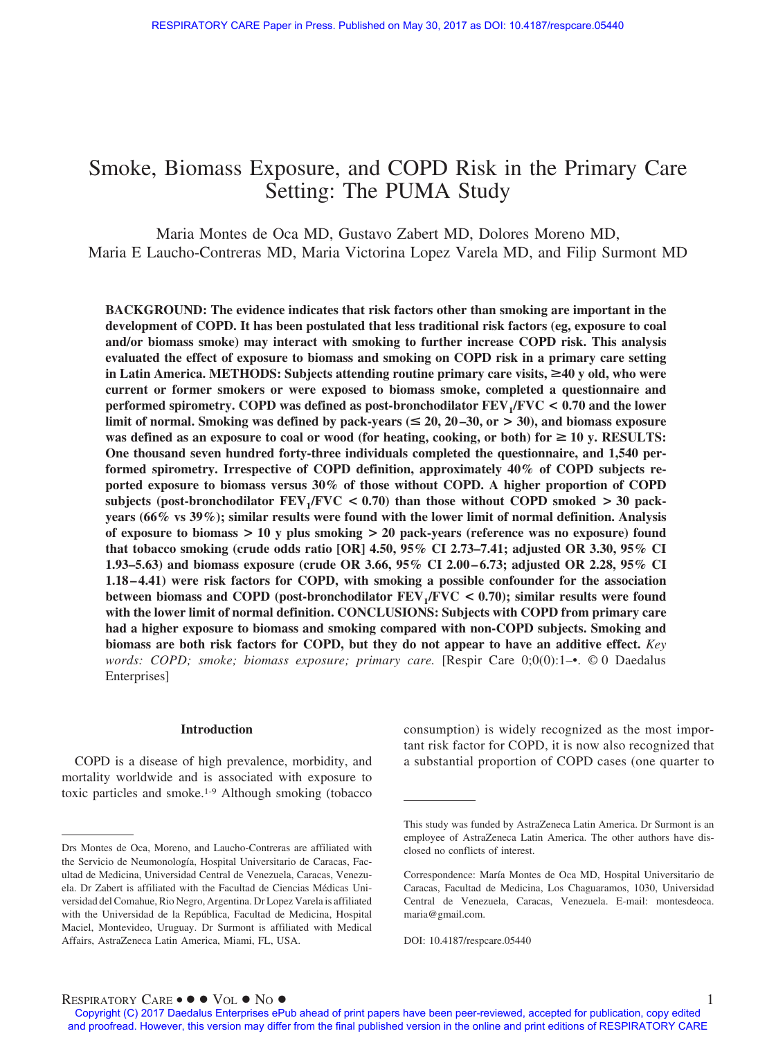# Smoke, Biomass Exposure, and COPD Risk in the Primary Care Setting: The PUMA Study

Maria Montes de Oca MD, Gustavo Zabert MD, Dolores Moreno MD, Maria E Laucho-Contreras MD, Maria Victorina Lopez Varela MD, and Filip Surmont MD

**BACKGROUND: The evidence indicates that risk factors other than smoking are important in the development of COPD. It has been postulated that less traditional risk factors (eg, exposure to coal and/or biomass smoke) may interact with smoking to further increase COPD risk. This analysis evaluated the effect of exposure to biomass and smoking on COPD risk in a primary care setting** in Latin America. METHODS: Subjects attending routine primary care visits, ≥40 y old, who were **current or former smokers or were exposed to biomass smoke, completed a questionnaire and performed spirometry. COPD was defined as post-bronchodilator FEV1/FVC < 0.70 and the lower limit of normal. Smoking was defined by pack-years (** $\leq$  **20, 20–30, or**  $>$  **30), and biomass exposure** was defined as an exposure to coal or wood (for heating, cooking, or both) for  $\geq 10$  y. RESULTS: **One thousand seven hundred forty-three individuals completed the questionnaire, and 1,540 performed spirometry. Irrespective of COPD definition, approximately 40% of COPD subjects reported exposure to biomass versus 30% of those without COPD. A higher proportion of COPD** subjects (post-bronchodilator  $\text{FEV}_1/\text{FVC} < 0.70$ ) than those without COPD smoked  $> 30$  pack**years (66% vs 39%); similar results were found with the lower limit of normal definition. Analysis of exposure to biomass > 10 y plus smoking > 20 pack-years (reference was no exposure) found that tobacco smoking (crude odds ratio [OR] 4.50, 95% CI 2.73–7.41; adjusted OR 3.30, 95% CI 1.93–5.63) and biomass exposure (crude OR 3.66, 95% CI 2.00 – 6.73; adjusted OR 2.28, 95% CI 1.18 – 4.41) were risk factors for COPD, with smoking a possible confounder for the association between biomass and COPD (post-bronchodilator FEV1/FVC < 0.70); similar results were found with the lower limit of normal definition. CONCLUSIONS: Subjects with COPD from primary care had a higher exposure to biomass and smoking compared with non-COPD subjects. Smoking and biomass are both risk factors for COPD, but they do not appear to have an additive effect.** *Key words: COPD; smoke; biomass exposure; primary care.* [Respir Care 0;0(0):1–•. © 0 Daedalus Enterprises]

#### **Introduction**

COPD is a disease of high prevalence, morbidity, and mortality worldwide and is associated with exposure to toxic particles and smoke.1-9 Although smoking (tobacco

consumption) is widely recognized as the most important risk factor for COPD, it is now also recognized that a substantial proportion of COPD cases (one quarter to

 $R$ ESPIRATORY  $C$ ARE •  $\bullet \bullet \text{Vol} \bullet \text{No} \bullet$ 

Drs Montes de Oca, Moreno, and Laucho-Contreras are affiliated with the Servicio de Neumonología, Hospital Universitario de Caracas, Facultad de Medicina, Universidad Central de Venezuela, Caracas, Venezuela. Dr Zabert is affiliated with the Facultad de Ciencias Médicas Universidad del Comahue, Rio Negro, Argentina. Dr Lopez Varela is affiliated with the Universidad de la República, Facultad de Medicina, Hospital Maciel, Montevideo, Uruguay. Dr Surmont is affiliated with Medical Affairs, AstraZeneca Latin America, Miami, FL, USA.

This study was funded by AstraZeneca Latin America. Dr Surmont is an employee of AstraZeneca Latin America. The other authors have disclosed no conflicts of interest.

Correspondence: María Montes de Oca MD, Hospital Universitario de Caracas, Facultad de Medicina, Los Chaguaramos, 1030, Universidad Central de Venezuela, Caracas, Venezuela. E-mail: [montesdeoca.](mailto:montesdeoca.maria@gmail.com) [maria@gmail.com.](mailto:montesdeoca.maria@gmail.com)

DOI: 10.4187/respcare.05440

Copyright (C) 2017 Daedalus Enterprises ePub ahead of print papers have been peer-reviewed, accepted for publication, copy edited and proofread. However, this version may differ from the final published version in the online and print editions of RESPIRATORY CARE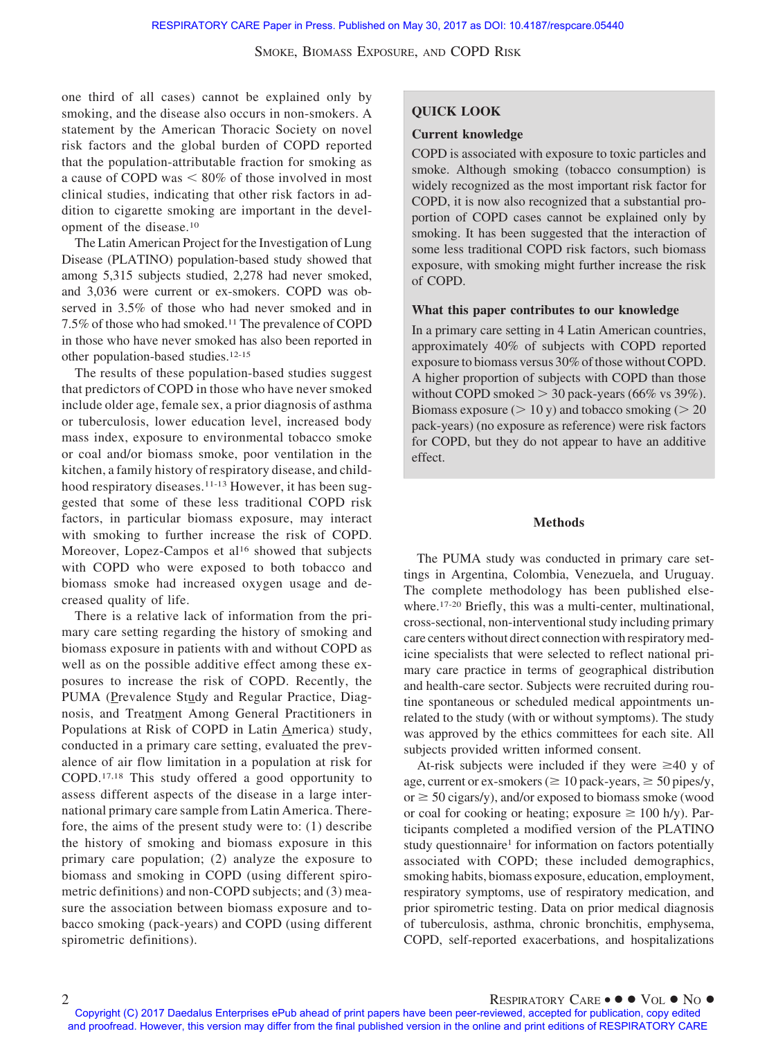one third of all cases) cannot be explained only by smoking, and the disease also occurs in non-smokers. A statement by the American Thoracic Society on novel risk factors and the global burden of COPD reported that the population-attributable fraction for smoking as a cause of COPD was  $\leq 80\%$  of those involved in most clinical studies, indicating that other risk factors in addition to cigarette smoking are important in the development of the disease.10

The Latin American Project for the Investigation of Lung Disease (PLATINO) population-based study showed that among 5,315 subjects studied, 2,278 had never smoked, and 3,036 were current or ex-smokers. COPD was observed in 3.5% of those who had never smoked and in 7.5% of those who had smoked.11 The prevalence of COPD in those who have never smoked has also been reported in other population-based studies.12-15

The results of these population-based studies suggest that predictors of COPD in those who have never smoked include older age, female sex, a prior diagnosis of asthma or tuberculosis, lower education level, increased body mass index, exposure to environmental tobacco smoke or coal and/or biomass smoke, poor ventilation in the kitchen, a family history of respiratory disease, and childhood respiratory diseases.<sup>11-13</sup> However, it has been suggested that some of these less traditional COPD risk factors, in particular biomass exposure, may interact with smoking to further increase the risk of COPD. Moreover, Lopez-Campos et al<sup>16</sup> showed that subjects with COPD who were exposed to both tobacco and biomass smoke had increased oxygen usage and decreased quality of life.

There is a relative lack of information from the primary care setting regarding the history of smoking and biomass exposure in patients with and without COPD as well as on the possible additive effect among these exposures to increase the risk of COPD. Recently, the PUMA (Prevalence Study and Regular Practice, Diagnosis, and Treatment Among General Practitioners in Populations at Risk of COPD in Latin America) study, conducted in a primary care setting, evaluated the prevalence of air flow limitation in a population at risk for COPD.17,18 This study offered a good opportunity to assess different aspects of the disease in a large international primary care sample from Latin America. Therefore, the aims of the present study were to: (1) describe the history of smoking and biomass exposure in this primary care population; (2) analyze the exposure to biomass and smoking in COPD (using different spirometric definitions) and non-COPD subjects; and (3) measure the association between biomass exposure and tobacco smoking (pack-years) and COPD (using different spirometric definitions).

# **QUICK LOOK**

#### **Current knowledge**

COPD is associated with exposure to toxic particles and smoke. Although smoking (tobacco consumption) is widely recognized as the most important risk factor for COPD, it is now also recognized that a substantial proportion of COPD cases cannot be explained only by smoking. It has been suggested that the interaction of some less traditional COPD risk factors, such biomass exposure, with smoking might further increase the risk of COPD.

## **What this paper contributes to our knowledge**

In a primary care setting in 4 Latin American countries, approximately 40% of subjects with COPD reported exposure to biomass versus 30% of those without COPD. A higher proportion of subjects with COPD than those without COPD smoked  $>$  30 pack-years (66% vs 39%). Biomass exposure  $(> 10 y)$  and tobacco smoking  $(> 20$ pack-years) (no exposure as reference) were risk factors for COPD, but they do not appear to have an additive effect.

#### **Methods**

The PUMA study was conducted in primary care settings in Argentina, Colombia, Venezuela, and Uruguay. The complete methodology has been published elsewhere.<sup>17-20</sup> Briefly, this was a multi-center, multinational, cross-sectional, non-interventional study including primary care centers without direct connection with respiratory medicine specialists that were selected to reflect national primary care practice in terms of geographical distribution and health-care sector. Subjects were recruited during routine spontaneous or scheduled medical appointments unrelated to the study (with or without symptoms). The study was approved by the ethics committees for each site. All subjects provided written informed consent.

At-risk subjects were included if they were  $\geq 40$  y of age, current or ex-smokers ( $\geq 10$  pack-years,  $\geq 50$  pipes/y,  $or \ge 50$  cigars/y), and/or exposed to biomass smoke (wood or coal for cooking or heating; exposure  $\geq 100$  h/y). Participants completed a modified version of the PLATINO study questionnaire<sup>1</sup> for information on factors potentially associated with COPD; these included demographics, smoking habits, biomass exposure, education, employment, respiratory symptoms, use of respiratory medication, and prior spirometric testing. Data on prior medical diagnosis of tuberculosis, asthma, chronic bronchitis, emphysema, COPD, self-reported exacerbations, and hospitalizations

Copyright (C) 2017 Daedalus Enterprises ePub ahead of print papers have been peer-reviewed, accepted for publication, copy edited and proofread. However, this version may differ from the final published version in the online and print editions of RESPIRATORY CARE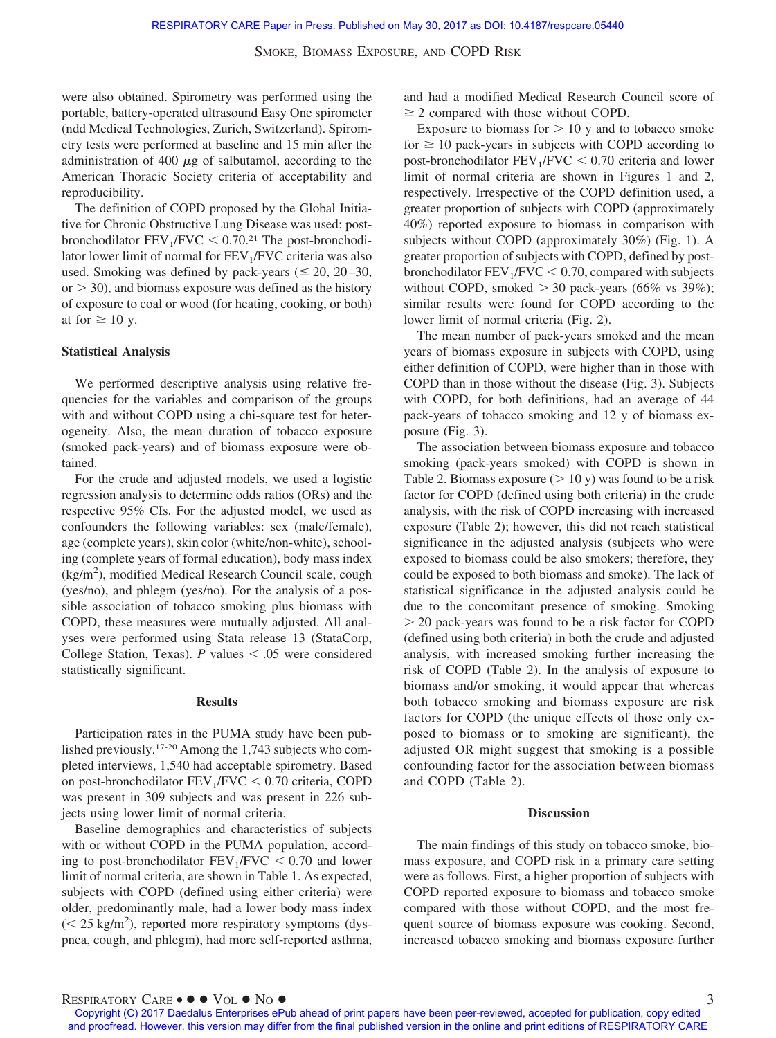were also obtained. Spirometry was performed using the portable, battery-operated ultrasound Easy One spirometer (ndd Medical Technologies, Zurich, Switzerland). Spirometry tests were performed at baseline and 15 min after the administration of 400  $\mu$ g of salbutamol, according to the American Thoracic Society criteria of acceptability and reproducibility.

The definition of COPD proposed by the Global Initiative for Chronic Obstructive Lung Disease was used: postbronchodilator  $FEV_1/FVC < 0.70$ .<sup>21</sup> The post-bronchodilator lower limit of normal for  $FEV<sub>1</sub>/FVC$  criteria was also used. Smoking was defined by pack-years ( $\leq 20$ , 20–30,  $or > 30$ , and biomass exposure was defined as the history of exposure to coal or wood (for heating, cooking, or both) at for  $\geq 10$  y.

#### **Statistical Analysis**

We performed descriptive analysis using relative frequencies for the variables and comparison of the groups with and without COPD using a chi-square test for heterogeneity. Also, the mean duration of tobacco exposure (smoked pack-years) and of biomass exposure were obtained.

For the crude and adjusted models, we used a logistic regression analysis to determine odds ratios (ORs) and the respective 95% CIs. For the adjusted model, we used as confounders the following variables: sex (male/female), age (complete years), skin color (white/non-white), schooling (complete years of formal education), body mass index (kg/m<sup>2</sup>), modified Medical Research Council scale, cough (yes/no), and phlegm (yes/no). For the analysis of a possible association of tobacco smoking plus biomass with COPD, these measures were mutually adjusted. All analyses were performed using Stata release 13 (StataCorp, College Station, Texas).  $P$  values  $\leq .05$  were considered statistically significant.

#### **Results**

Participation rates in the PUMA study have been published previously.17-20 Among the 1,743 subjects who completed interviews, 1,540 had acceptable spirometry. Based on post-bronchodilator  $FEV<sub>1</sub>/FVC < 0.70$  criteria, COPD was present in 309 subjects and was present in 226 subjects using lower limit of normal criteria.

Baseline demographics and characteristics of subjects with or without COPD in the PUMA population, according to post-bronchodilator  $FEV_1/FVC < 0.70$  and lower limit of normal criteria, are shown in Table 1. As expected, subjects with COPD (defined using either criteria) were older, predominantly male, had a lower body mass index  $(< 25 \text{ kg/m}^2)$ , reported more respiratory symptoms (dyspnea, cough, and phlegm), had more self-reported asthma, and had a modified Medical Research Council score of  $\geq$  2 compared with those without COPD.

Exposure to biomass for  $> 10$  y and to tobacco smoke for  $\geq 10$  pack-years in subjects with COPD according to post-bronchodilator  $FEV_1/FVC < 0.70$  criteria and lower limit of normal criteria are shown in Figures 1 and 2, respectively. Irrespective of the COPD definition used, a greater proportion of subjects with COPD (approximately 40%) reported exposure to biomass in comparison with subjects without COPD (approximately 30%) (Fig. 1). A greater proportion of subjects with COPD, defined by postbronchodilator  $FEV_1/FVC < 0.70$ , compared with subjects without COPD, smoked  $> 30$  pack-years (66% vs 39%); similar results were found for COPD according to the lower limit of normal criteria (Fig. 2).

The mean number of pack-years smoked and the mean years of biomass exposure in subjects with COPD, using either definition of COPD, were higher than in those with COPD than in those without the disease (Fig. 3). Subjects with COPD, for both definitions, had an average of 44 pack-years of tobacco smoking and 12 y of biomass exposure (Fig. 3).

The association between biomass exposure and tobacco smoking (pack-years smoked) with COPD is shown in Table 2. Biomass exposure  $(> 10 y)$  was found to be a risk factor for COPD (defined using both criteria) in the crude analysis, with the risk of COPD increasing with increased exposure (Table 2); however, this did not reach statistical significance in the adjusted analysis (subjects who were exposed to biomass could be also smokers; therefore, they could be exposed to both biomass and smoke). The lack of statistical significance in the adjusted analysis could be due to the concomitant presence of smoking. Smoking  $>$  20 pack-years was found to be a risk factor for COPD (defined using both criteria) in both the crude and adjusted analysis, with increased smoking further increasing the risk of COPD (Table 2). In the analysis of exposure to biomass and/or smoking, it would appear that whereas both tobacco smoking and biomass exposure are risk factors for COPD (the unique effects of those only exposed to biomass or to smoking are significant), the adjusted OR might suggest that smoking is a possible confounding factor for the association between biomass and COPD (Table 2).

#### **Discussion**

The main findings of this study on tobacco smoke, biomass exposure, and COPD risk in a primary care setting were as follows. First, a higher proportion of subjects with COPD reported exposure to biomass and tobacco smoke compared with those without COPD, and the most frequent source of biomass exposure was cooking. Second, increased tobacco smoking and biomass exposure further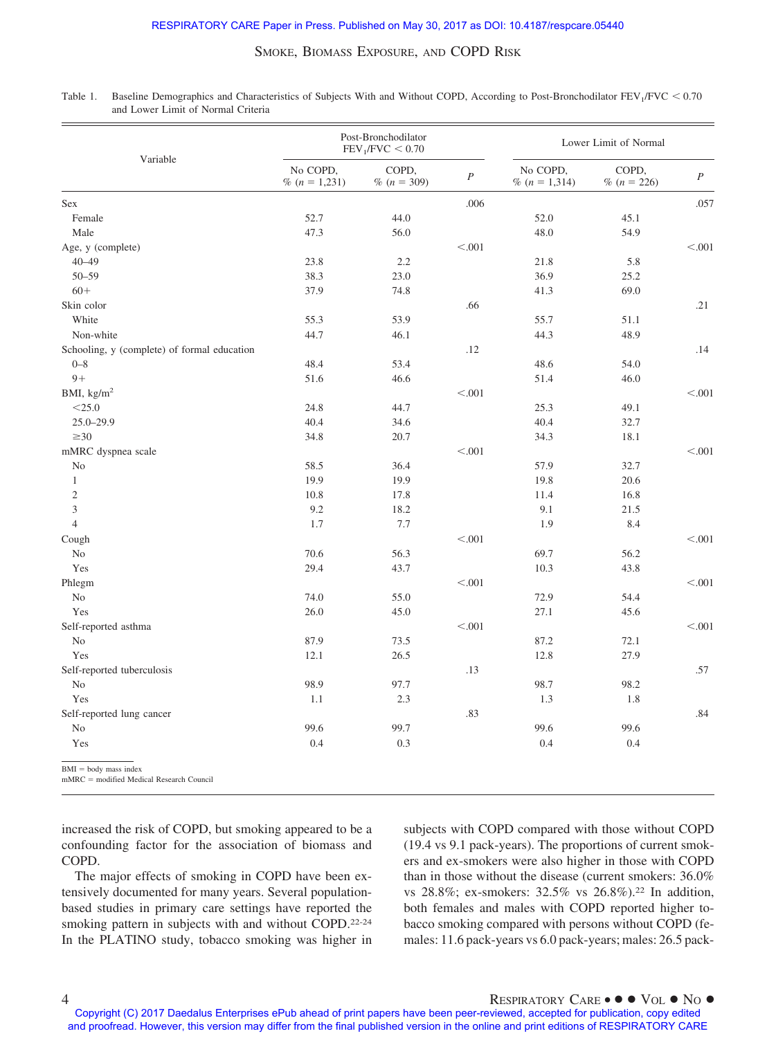| Variable                                    |                             | Post-Bronchodilator<br>FEV <sub>1</sub> /FVC < 0.70 |                  | Lower Limit of Normal       |                        |                  |  |
|---------------------------------------------|-----------------------------|-----------------------------------------------------|------------------|-----------------------------|------------------------|------------------|--|
|                                             | No COPD,<br>% $(n = 1,231)$ | COPD,<br>% $(n = 309)$                              | $\boldsymbol{P}$ | No COPD,<br>% $(n = 1,314)$ | COPD,<br>% $(n = 226)$ | $\boldsymbol{P}$ |  |
| Sex                                         |                             |                                                     | .006             |                             |                        | .057             |  |
| Female                                      | 52.7                        | 44.0                                                |                  | 52.0                        | 45.1                   |                  |  |
| Male                                        | 47.3                        | 56.0                                                |                  | 48.0                        | 54.9                   |                  |  |
| Age, y (complete)                           |                             |                                                     | < .001           |                             |                        | < .001           |  |
| $40 - 49$                                   | 23.8                        | 2.2                                                 |                  | 21.8                        | 5.8                    |                  |  |
| $50 - 59$                                   | 38.3                        | 23.0                                                |                  | 36.9                        | 25.2                   |                  |  |
| $60+$                                       | 37.9                        | 74.8                                                |                  | 41.3                        | 69.0                   |                  |  |
| Skin color                                  |                             |                                                     | .66              |                             |                        | .21              |  |
| White                                       | 55.3                        | 53.9                                                |                  | 55.7                        | 51.1                   |                  |  |
| Non-white                                   | 44.7                        | 46.1                                                |                  | 44.3                        | 48.9                   |                  |  |
| Schooling, y (complete) of formal education |                             |                                                     | .12              |                             |                        | .14              |  |
| $0 - 8$                                     | 48.4                        | 53.4                                                |                  | 48.6                        | 54.0                   |                  |  |
| $9+$                                        | 51.6                        | 46.6                                                |                  | 51.4                        | 46.0                   |                  |  |
| BMI, $\text{kg/m}^2$                        |                             |                                                     | < .001           |                             |                        | < 0.001          |  |
| $<$ 25.0                                    | 24.8                        | 44.7                                                |                  | 25.3                        | 49.1                   |                  |  |
| $25.0 - 29.9$                               | 40.4                        | 34.6                                                |                  | 40.4                        | 32.7                   |                  |  |
| $\geq 30$                                   | 34.8                        | 20.7                                                |                  | 34.3                        | 18.1                   |                  |  |
| mMRC dyspnea scale                          |                             |                                                     | < 0.001          |                             |                        | < .001           |  |
| N <sub>o</sub>                              | 58.5                        | 36.4                                                |                  | 57.9                        | 32.7                   |                  |  |
| $\mathbf{1}$                                | 19.9                        | 19.9                                                |                  | 19.8                        | 20.6                   |                  |  |
| $\sqrt{2}$                                  | 10.8                        | 17.8                                                |                  | 11.4                        | 16.8                   |                  |  |
| 3                                           | 9.2                         | 18.2                                                |                  | 9.1                         | 21.5                   |                  |  |
| $\overline{4}$                              | 1.7                         | 7.7                                                 |                  | 1.9                         | 8.4                    |                  |  |
| Cough                                       |                             |                                                     | < .001           |                             |                        | < 0.001          |  |
| N <sub>o</sub>                              | 70.6                        | 56.3                                                |                  | 69.7                        | 56.2                   |                  |  |
| Yes                                         | 29.4                        | 43.7                                                |                  | 10.3                        | 43.8                   |                  |  |
| Phlegm                                      |                             |                                                     | < 0.001          |                             |                        | < 0.001          |  |
| N <sub>o</sub>                              | 74.0                        | 55.0                                                |                  | 72.9                        | 54.4                   |                  |  |
| Yes                                         | 26.0                        | 45.0                                                |                  | 27.1                        | 45.6                   |                  |  |
| Self-reported asthma                        |                             |                                                     | < .001           |                             |                        | < 0.001          |  |
| N <sub>o</sub>                              | 87.9                        | 73.5                                                |                  | 87.2                        | 72.1                   |                  |  |
| Yes                                         | 12.1                        | 26.5                                                |                  | 12.8                        | 27.9                   |                  |  |
| Self-reported tuberculosis                  |                             |                                                     | .13              |                             |                        | .57              |  |
| N <sub>o</sub>                              | 98.9                        | 97.7                                                |                  | 98.7                        | 98.2                   |                  |  |
| Yes                                         | 1.1                         | 2.3                                                 |                  | 1.3                         | 1.8                    |                  |  |
| Self-reported lung cancer                   |                             |                                                     | .83              |                             |                        | .84              |  |
| N <sub>o</sub>                              | 99.6                        | 99.7                                                |                  | 99.6                        | 99.6                   |                  |  |
| Yes                                         | 0.4                         | 0.3                                                 |                  | 0.4                         | 0.4                    |                  |  |
| $BMI = body$ mass index                     |                             |                                                     |                  |                             |                        |                  |  |

Table 1. Baseline Demographics and Characteristics of Subjects With and Without COPD, According to Post-Bronchodilator  $FEV_1/FVC < 0.70$ and Lower Limit of Normal Criteria

 $mMRC =$  modified Medical Research Council

increased the risk of COPD, but smoking appeared to be a confounding factor for the association of biomass and COPD.

The major effects of smoking in COPD have been extensively documented for many years. Several populationbased studies in primary care settings have reported the smoking pattern in subjects with and without COPD.<sup>22-24</sup> In the PLATINO study, tobacco smoking was higher in subjects with COPD compared with those without COPD (19.4 vs 9.1 pack-years). The proportions of current smokers and ex-smokers were also higher in those with COPD than in those without the disease (current smokers: 36.0% vs 28.8%; ex-smokers: 32.5% vs 26.8%).22 In addition, both females and males with COPD reported higher tobacco smoking compared with persons without COPD (females: 11.6 pack-years vs 6.0 pack-years; males: 26.5 pack-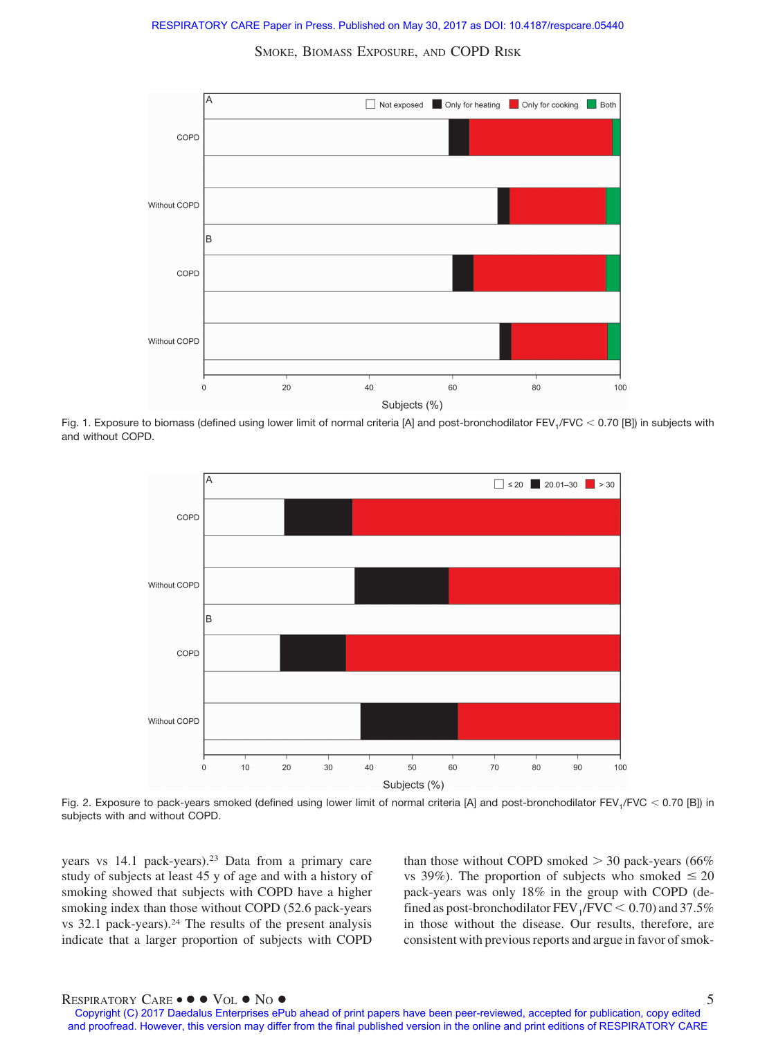

Fig. 1. Exposure to biomass (defined using lower limit of normal criteria [A] and post-bronchodilator FEV<sub>1</sub>/FVC  $<$  0.70 [B]) in subjects with and without COPD.



Fig. 2. Exposure to pack-years smoked (defined using lower limit of normal criteria [A] and post-bronchodilator FEV<sub>1</sub>/FVC  $<$  0.70 [B]) in subjects with and without COPD.

years vs 14.1 pack-years).23 Data from a primary care study of subjects at least 45 y of age and with a history of smoking showed that subjects with COPD have a higher smoking index than those without COPD (52.6 pack-years vs 32.1 pack-years).24 The results of the present analysis indicate that a larger proportion of subjects with COPD than those without COPD smoked  $>$  30 pack-years (66%) vs 39%). The proportion of subjects who smoked  $\leq 20$ pack-years was only 18% in the group with COPD (defined as post-bronchodilator  $\text{FEV}_1/\text{FVC} < 0.70$ ) and 37.5% in those without the disease. Our results, therefore, are consistent with previous reports and argue in favor of smok-

# RESPIRATORY CARE •  $\bullet \bullet$  Vol  $\bullet$  No  $\bullet$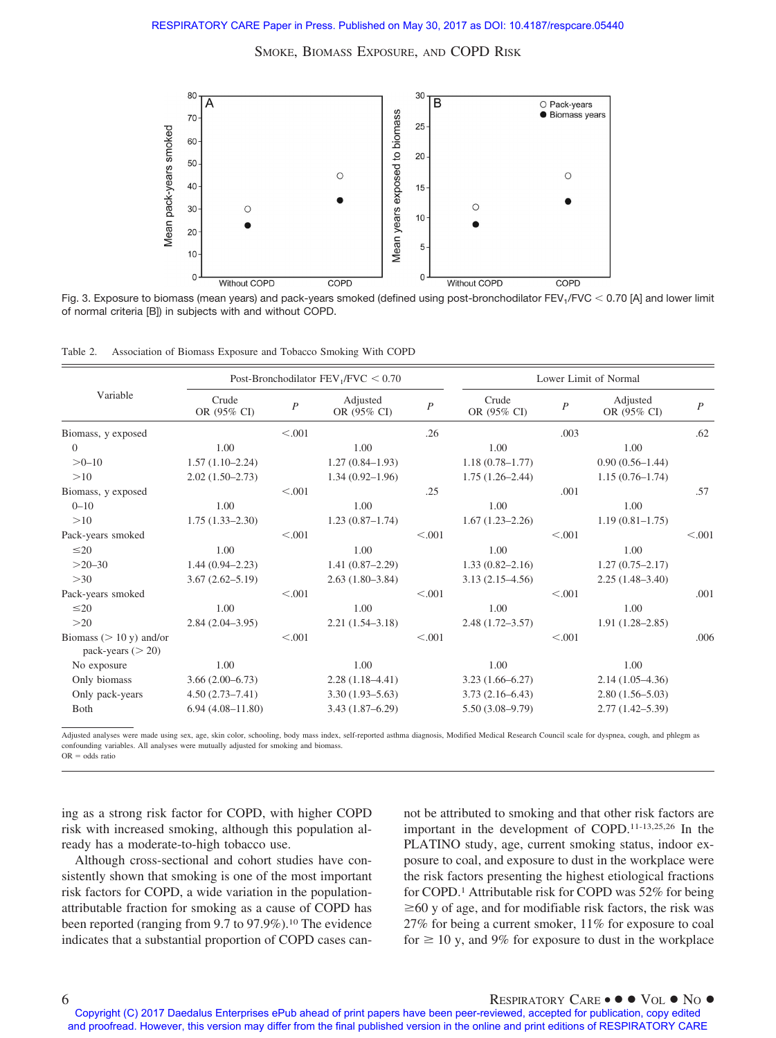

Fig. 3. Exposure to biomass (mean years) and pack-years smoked (defined using post-bronchodilator FEV<sub>1</sub>/FVC  $<$  0.70 [A] and lower limit of normal criteria [B]) in subjects with and without COPD.

| Table 2. |  | Association of Biomass Exposure and Tobacco Smoking With COPD |  |  |
|----------|--|---------------------------------------------------------------|--|--|
|          |  |                                                               |  |  |

| Variable                                           | Post-Bronchodilator $FEV_1/FVC < 0.70$ |                |                         | Lower Limit of Normal |                      |                  |                         |                  |
|----------------------------------------------------|----------------------------------------|----------------|-------------------------|-----------------------|----------------------|------------------|-------------------------|------------------|
|                                                    | Crude<br>OR (95% CI)                   | $\overline{P}$ | Adjusted<br>OR (95% CI) | $\overline{P}$        | Crude<br>OR (95% CI) | $\boldsymbol{P}$ | Adjusted<br>OR (95% CI) | $\boldsymbol{P}$ |
| Biomass, y exposed                                 |                                        | < 0.001        |                         | .26                   |                      | .003             |                         | .62              |
| $\Omega$                                           | 1.00                                   |                | 1.00                    |                       | 1.00                 |                  | 1.00                    |                  |
| $>0-10$                                            | $1.57(1.10-2.24)$                      |                | $1.27(0.84 - 1.93)$     |                       | $1.18(0.78 - 1.77)$  |                  | $0.90(0.56 - 1.44)$     |                  |
| >10                                                | $2.02(1.50-2.73)$                      |                | $1.34(0.92 - 1.96)$     |                       | $1.75(1.26-2.44)$    |                  | $1.15(0.76 - 1.74)$     |                  |
| Biomass, y exposed                                 |                                        | < 0.001        |                         | .25                   |                      | .001             |                         | .57              |
| $0 - 10$                                           | 1.00                                   |                | 1.00                    |                       | 1.00                 |                  | 1.00                    |                  |
| >10                                                | $1.75(1.33 - 2.30)$                    |                | $1.23(0.87-1.74)$       |                       | $1.67(1.23 - 2.26)$  |                  | $1.19(0.81 - 1.75)$     |                  |
| Pack-years smoked                                  |                                        | < 0.001        |                         | < 0.001               |                      | < 0.01           |                         | < 0.001          |
| $\leq$ 20                                          | 1.00                                   |                | 1.00                    |                       | 1.00                 |                  | 1.00                    |                  |
| $>20-30$                                           | $1.44(0.94 - 2.23)$                    |                | $1.41(0.87 - 2.29)$     |                       | $1.33(0.82 - 2.16)$  |                  | $1.27(0.75 - 2.17)$     |                  |
| >30                                                | $3.67(2.62 - 5.19)$                    |                | $2.63(1.80-3.84)$       |                       | $3.13(2.15-4.56)$    |                  | $2.25(1.48-3.40)$       |                  |
| Pack-years smoked                                  |                                        | < 0.001        |                         | < 0.001               |                      | < 0.001          |                         | .001             |
| $\leq$ 20                                          | 1.00                                   |                | 1.00                    |                       | 1.00                 |                  | 1.00                    |                  |
| >20                                                | $2.84(2.04-3.95)$                      |                | $2.21(1.54 - 3.18)$     |                       | $2.48(1.72 - 3.57)$  |                  | $1.91(1.28 - 2.85)$     |                  |
| Biomass ( $> 10 y$ ) and/or<br>pack-years $(> 20)$ |                                        | < 0.001        |                         | < 0.001               |                      | < 0.001          |                         | .006             |
| No exposure                                        | 1.00                                   |                | 1.00                    |                       | 1.00                 |                  | 1.00                    |                  |
| Only biomass                                       | $3.66(2.00-6.73)$                      |                | $2.28(1.18-4.41)$       |                       | $3.23(1.66 - 6.27)$  |                  | $2.14(1.05-4.36)$       |                  |
| Only pack-years                                    | $4.50(2.73 - 7.41)$                    |                | $3.30(1.93 - 5.63)$     |                       | $3.73(2.16-6.43)$    |                  | $2.80(1.56 - 5.03)$     |                  |
| <b>B</b> oth                                       | $6.94(4.08 - 11.80)$                   |                | $3.43(1.87 - 6.29)$     |                       | $5.50(3.08-9.79)$    |                  | $2.77(1.42 - 5.39)$     |                  |

Adjusted analyses were made using sex, age, skin color, schooling, body mass index, self-reported asthma diagnosis, Modified Medical Research Council scale for dyspnea, cough, and phlegm as confounding variables. All analyses were mutually adjusted for smoking and biomass.  $OR = \text{odds ratio}$ 

ing as a strong risk factor for COPD, with higher COPD risk with increased smoking, although this population already has a moderate-to-high tobacco use.

Although cross-sectional and cohort studies have consistently shown that smoking is one of the most important risk factors for COPD, a wide variation in the populationattributable fraction for smoking as a cause of COPD has been reported (ranging from 9.7 to 97.9%).<sup>10</sup> The evidence indicates that a substantial proportion of COPD cases cannot be attributed to smoking and that other risk factors are important in the development of COPD.11-13,25,26 In the PLATINO study, age, current smoking status, indoor exposure to coal, and exposure to dust in the workplace were the risk factors presenting the highest etiological fractions for COPD.1 Attributable risk for COPD was 52% for being  $\geq$  60 y of age, and for modifiable risk factors, the risk was 27% for being a current smoker, 11% for exposure to coal for  $\geq 10$  y, and 9% for exposure to dust in the workplace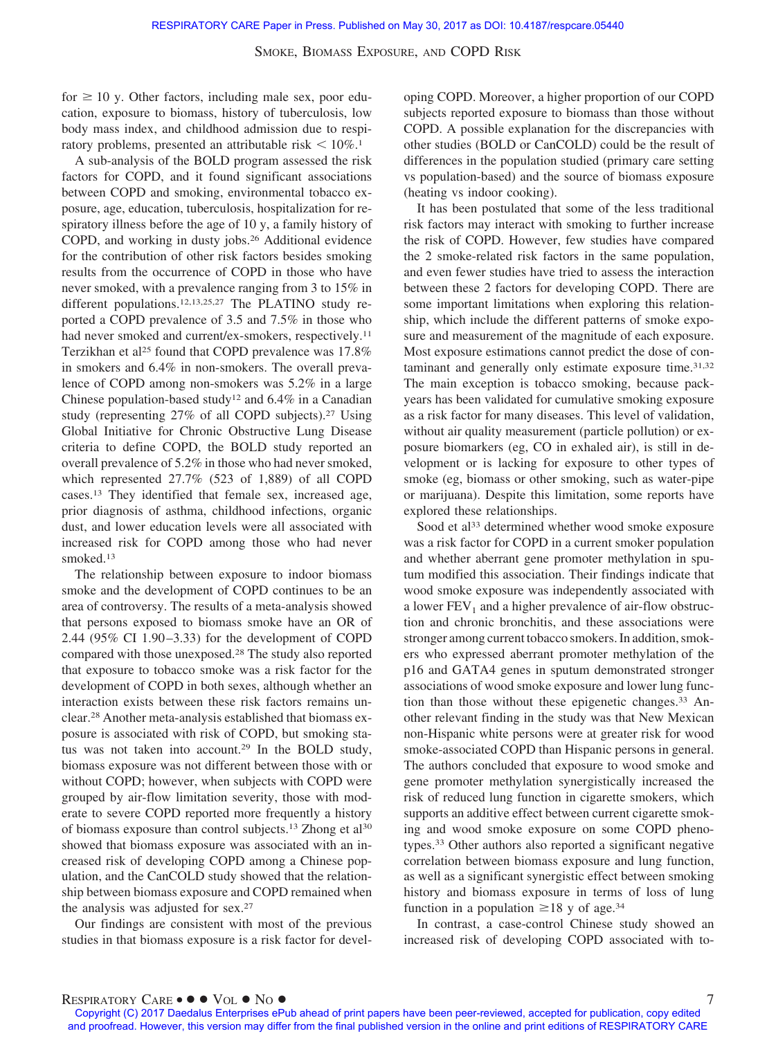for  $\geq 10$  y. Other factors, including male sex, poor education, exposure to biomass, history of tuberculosis, low body mass index, and childhood admission due to respiratory problems, presented an attributable risk  $\leq 10\%$ .<sup>1</sup>

A sub-analysis of the BOLD program assessed the risk factors for COPD, and it found significant associations between COPD and smoking, environmental tobacco exposure, age, education, tuberculosis, hospitalization for respiratory illness before the age of 10 y, a family history of COPD, and working in dusty jobs.26 Additional evidence for the contribution of other risk factors besides smoking results from the occurrence of COPD in those who have never smoked, with a prevalence ranging from 3 to 15% in different populations.<sup>12,13,25,27</sup> The PLATINO study reported a COPD prevalence of 3.5 and 7.5% in those who had never smoked and current/ex-smokers, respectively.<sup>11</sup> Terzikhan et al<sup>25</sup> found that COPD prevalence was 17.8% in smokers and 6.4% in non-smokers. The overall prevalence of COPD among non-smokers was 5.2% in a large Chinese population-based study<sup>12</sup> and  $6.4\%$  in a Canadian study (representing 27% of all COPD subjects).27 Using Global Initiative for Chronic Obstructive Lung Disease criteria to define COPD, the BOLD study reported an overall prevalence of 5.2% in those who had never smoked, which represented 27.7% (523 of 1,889) of all COPD cases.13 They identified that female sex, increased age, prior diagnosis of asthma, childhood infections, organic dust, and lower education levels were all associated with increased risk for COPD among those who had never smoked.13

The relationship between exposure to indoor biomass smoke and the development of COPD continues to be an area of controversy. The results of a meta-analysis showed that persons exposed to biomass smoke have an OR of 2.44 (95% CI 1.90 –3.33) for the development of COPD compared with those unexposed.28 The study also reported that exposure to tobacco smoke was a risk factor for the development of COPD in both sexes, although whether an interaction exists between these risk factors remains unclear.28 Another meta-analysis established that biomass exposure is associated with risk of COPD, but smoking status was not taken into account.29 In the BOLD study, biomass exposure was not different between those with or without COPD; however, when subjects with COPD were grouped by air-flow limitation severity, those with moderate to severe COPD reported more frequently a history of biomass exposure than control subjects.13 Zhong et al30 showed that biomass exposure was associated with an increased risk of developing COPD among a Chinese population, and the CanCOLD study showed that the relationship between biomass exposure and COPD remained when the analysis was adjusted for sex.27

Our findings are consistent with most of the previous studies in that biomass exposure is a risk factor for developing COPD. Moreover, a higher proportion of our COPD subjects reported exposure to biomass than those without COPD. A possible explanation for the discrepancies with other studies (BOLD or CanCOLD) could be the result of differences in the population studied (primary care setting vs population-based) and the source of biomass exposure (heating vs indoor cooking).

It has been postulated that some of the less traditional risk factors may interact with smoking to further increase the risk of COPD. However, few studies have compared the 2 smoke-related risk factors in the same population, and even fewer studies have tried to assess the interaction between these 2 factors for developing COPD. There are some important limitations when exploring this relationship, which include the different patterns of smoke exposure and measurement of the magnitude of each exposure. Most exposure estimations cannot predict the dose of contaminant and generally only estimate exposure time.31,32 The main exception is tobacco smoking, because packyears has been validated for cumulative smoking exposure as a risk factor for many diseases. This level of validation, without air quality measurement (particle pollution) or exposure biomarkers (eg, CO in exhaled air), is still in development or is lacking for exposure to other types of smoke (eg, biomass or other smoking, such as water-pipe or marijuana). Despite this limitation, some reports have explored these relationships.

Sood et al<sup>33</sup> determined whether wood smoke exposure was a risk factor for COPD in a current smoker population and whether aberrant gene promoter methylation in sputum modified this association. Their findings indicate that wood smoke exposure was independently associated with a lower  $FEV<sub>1</sub>$  and a higher prevalence of air-flow obstruction and chronic bronchitis, and these associations were stronger among current tobacco smokers. In addition, smokers who expressed aberrant promoter methylation of the p16 and GATA4 genes in sputum demonstrated stronger associations of wood smoke exposure and lower lung function than those without these epigenetic changes.<sup>33</sup> Another relevant finding in the study was that New Mexican non-Hispanic white persons were at greater risk for wood smoke-associated COPD than Hispanic persons in general. The authors concluded that exposure to wood smoke and gene promoter methylation synergistically increased the risk of reduced lung function in cigarette smokers, which supports an additive effect between current cigarette smoking and wood smoke exposure on some COPD phenotypes.33 Other authors also reported a significant negative correlation between biomass exposure and lung function, as well as a significant synergistic effect between smoking history and biomass exposure in terms of loss of lung function in a population  $\geq 18$  y of age.<sup>34</sup>

In contrast, a case-control Chinese study showed an increased risk of developing COPD associated with to-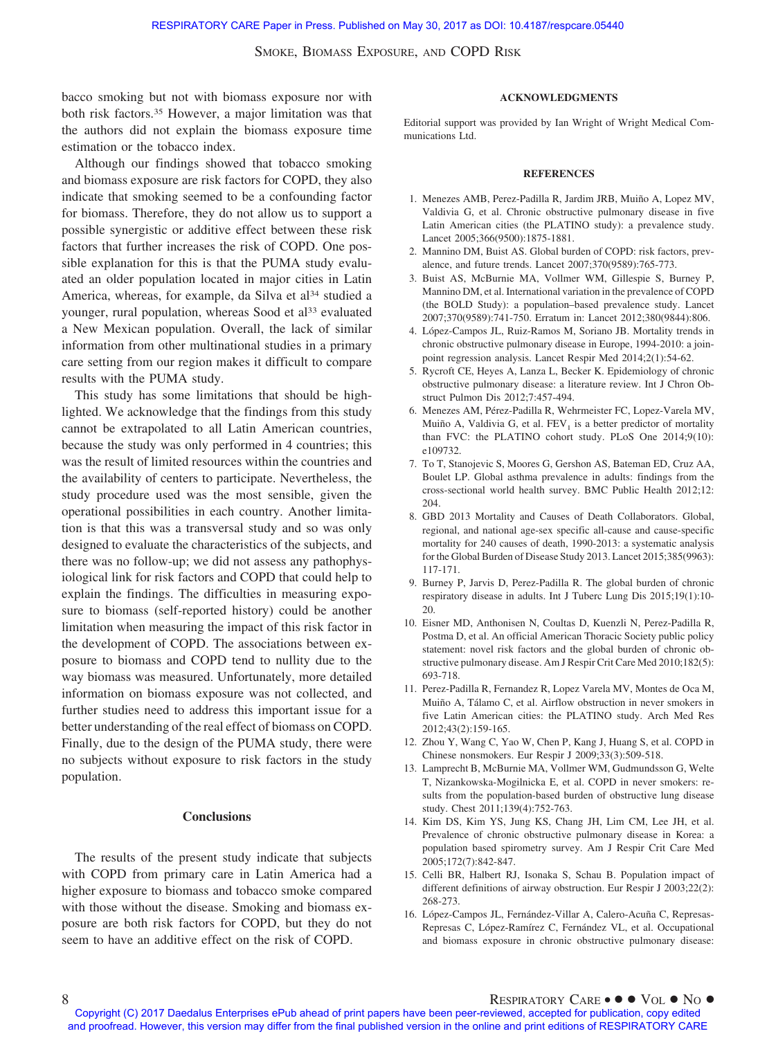bacco smoking but not with biomass exposure nor with both risk factors.35 However, a major limitation was that the authors did not explain the biomass exposure time estimation or the tobacco index.

Although our findings showed that tobacco smoking and biomass exposure are risk factors for COPD, they also indicate that smoking seemed to be a confounding factor for biomass. Therefore, they do not allow us to support a possible synergistic or additive effect between these risk factors that further increases the risk of COPD. One possible explanation for this is that the PUMA study evaluated an older population located in major cities in Latin America, whereas, for example, da Silva et al<sup>34</sup> studied a younger, rural population, whereas Sood et al<sup>33</sup> evaluated a New Mexican population. Overall, the lack of similar information from other multinational studies in a primary care setting from our region makes it difficult to compare results with the PUMA study.

This study has some limitations that should be highlighted. We acknowledge that the findings from this study cannot be extrapolated to all Latin American countries, because the study was only performed in 4 countries; this was the result of limited resources within the countries and the availability of centers to participate. Nevertheless, the study procedure used was the most sensible, given the operational possibilities in each country. Another limitation is that this was a transversal study and so was only designed to evaluate the characteristics of the subjects, and there was no follow-up; we did not assess any pathophysiological link for risk factors and COPD that could help to explain the findings. The difficulties in measuring exposure to biomass (self-reported history) could be another limitation when measuring the impact of this risk factor in the development of COPD. The associations between exposure to biomass and COPD tend to nullity due to the way biomass was measured. Unfortunately, more detailed information on biomass exposure was not collected, and further studies need to address this important issue for a better understanding of the real effect of biomass on COPD. Finally, due to the design of the PUMA study, there were no subjects without exposure to risk factors in the study population.

### **Conclusions**

The results of the present study indicate that subjects with COPD from primary care in Latin America had a higher exposure to biomass and tobacco smoke compared with those without the disease. Smoking and biomass exposure are both risk factors for COPD, but they do not seem to have an additive effect on the risk of COPD.

#### **ACKNOWLEDGMENTS**

Editorial support was provided by Ian Wright of Wright Medical Communications Ltd.

#### **REFERENCES**

- 1. Menezes AMB, Perez-Padilla R, Jardim JRB, Muiño A, Lopez MV, Valdivia G, et al. Chronic obstructive pulmonary disease in five Latin American cities (the PLATINO study): a prevalence study. Lancet 2005;366(9500):1875-1881.
- 2. Mannino DM, Buist AS. Global burden of COPD: risk factors, prevalence, and future trends. Lancet 2007;370(9589):765-773.
- 3. Buist AS, McBurnie MA, Vollmer WM, Gillespie S, Burney P, Mannino DM, et al. International variation in the prevalence of COPD (the BOLD Study): a population–based prevalence study. Lancet 2007;370(9589):741-750. Erratum in: Lancet 2012;380(9844):806.
- 4. López-Campos JL, Ruiz-Ramos M, Soriano JB. Mortality trends in chronic obstructive pulmonary disease in Europe, 1994-2010: a joinpoint regression analysis. Lancet Respir Med 2014;2(1):54-62.
- 5. Rycroft CE, Heyes A, Lanza L, Becker K. Epidemiology of chronic obstructive pulmonary disease: a literature review. Int J Chron Obstruct Pulmon Dis 2012;7:457-494.
- 6. Menezes AM, Pérez-Padilla R, Wehrmeister FC, Lopez-Varela MV, Muiño A, Valdivia G, et al.  $FEV<sub>1</sub>$  is a better predictor of mortality than FVC: the PLATINO cohort study. PLoS One 2014;9(10): e109732.
- 7. To T, Stanojevic S, Moores G, Gershon AS, Bateman ED, Cruz AA, Boulet LP. Global asthma prevalence in adults: findings from the cross-sectional world health survey. BMC Public Health 2012;12: 204.
- 8. GBD 2013 Mortality and Causes of Death Collaborators. Global, regional, and national age-sex specific all-cause and cause-specific mortality for 240 causes of death, 1990-2013: a systematic analysis for the Global Burden of Disease Study 2013. Lancet 2015;385(9963): 117-171.
- 9. Burney P, Jarvis D, Perez-Padilla R. The global burden of chronic respiratory disease in adults. Int J Tuberc Lung Dis 2015;19(1):10- 20.
- 10. Eisner MD, Anthonisen N, Coultas D, Kuenzli N, Perez-Padilla R, Postma D, et al. An official American Thoracic Society public policy statement: novel risk factors and the global burden of chronic obstructive pulmonary disease. Am J Respir Crit Care Med 2010;182(5): 693-718.
- 11. Perez-Padilla R, Fernandez R, Lopez Varela MV, Montes de Oca M, Muiño A, Tálamo C, et al. Airflow obstruction in never smokers in five Latin American cities: the PLATINO study. Arch Med Res 2012;43(2):159-165.
- 12. Zhou Y, Wang C, Yao W, Chen P, Kang J, Huang S, et al. COPD in Chinese nonsmokers. Eur Respir J 2009;33(3):509-518.
- 13. Lamprecht B, McBurnie MA, Vollmer WM, Gudmundsson G, Welte T, Nizankowska-Mogilnicka E, et al. COPD in never smokers: results from the population-based burden of obstructive lung disease study. Chest 2011;139(4):752-763.
- 14. Kim DS, Kim YS, Jung KS, Chang JH, Lim CM, Lee JH, et al. Prevalence of chronic obstructive pulmonary disease in Korea: a population based spirometry survey. Am J Respir Crit Care Med 2005;172(7):842-847.
- 15. Celli BR, Halbert RJ, Isonaka S, Schau B. Population impact of different definitions of airway obstruction. Eur Respir J 2003;22(2): 268-273.
- 16. López-Campos JL, Fernández-Villar A, Calero-Acuña C, Represas-Represas C, López-Ramírez C, Fernández VL, et al. Occupational and biomass exposure in chronic obstructive pulmonary disease:

Copyright (C) 2017 Daedalus Enterprises ePub ahead of print papers have been peer-reviewed, accepted for publication, copy edited and proofread. However, this version may differ from the final published version in the online and print editions of RESPIRATORY CARE